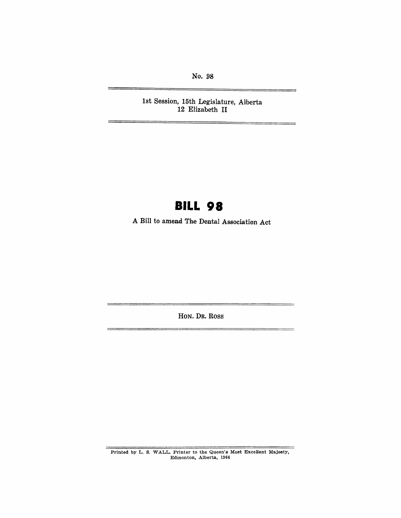No. 98

**1st Session, 15th Legislature,** Aliberta **12 Elizabeth II** 

# **BILL 98**

**A Bill to amend The Dental Association Act** 

**HON. DR. Ross** 

Printed by L. S. WALL. Printer to the Queen's Most Excellent Majesty, Edmonton, Alberta, 1964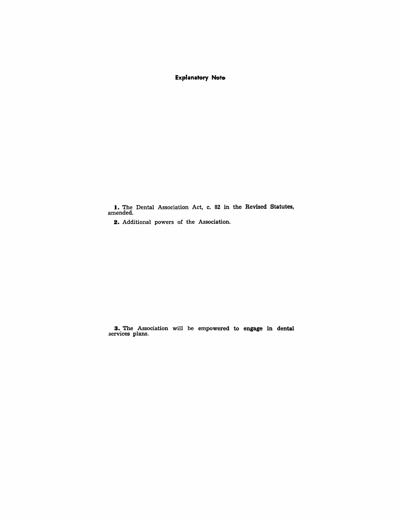### Explanatory Note

I. The Dental Association Act, c. 82 in the Revised Statutes, amended.

2. Additional powers of the Association.

3. The Association will be empowered to engage in dental services plans.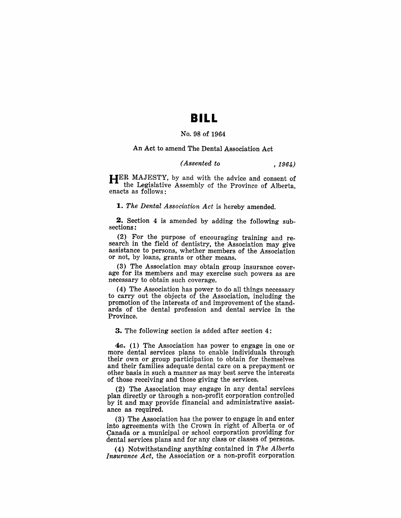## **BILL**

#### No. 98 of 1964

#### An Act to amend The Dental Association Act

#### *(Assented to* , 1964)

HER MAJESTY, by and with the advice and consent of the Legislative Assembly of the Province of Alberta, enacts as follows:

*1. The Dental Association Act* is hereby amended.

2. Section 4 is amended by adding the following subsections:

(2) For the purpose of encouraging training and research in the field of dentistry, the Association may give assistance to persons, whether members of the Association or not, by loans, grants or other means.

(3) The Association may obtain group insurance coverage for its members and may exercise such powers as are necessary to obtain such coverage.

( 4) The Association has power to do all things necessary to carry out the objects of the Association, including the promotion of the interests of and improvement of the standards of the dental profession and dental service in the Province.

·3. The following section is added after section 4:

*4a.* (1) The Association has power to engage in one or more dental services plans to enable individuals through their own or group participation to obtain for themselves and their families adequate dental care on a prepayment or other basis in such a manner as may best serve the interests of those receiving and those giving the services.

(2) The Association may engage in any dental services plan directly or through a non-profit corporation controlled by it and may provide financial and administrative assistance as required.

(3) The Association has the power to engage in and enter into agreements with the Crown in right of Alberta or of Canada or a municipal or school corporation providing for dental services plans and for any class or classes of persons.

(4) Notwithstanding anything contained in *The Alberta Insurance Act,* the Association or a non-profit corporation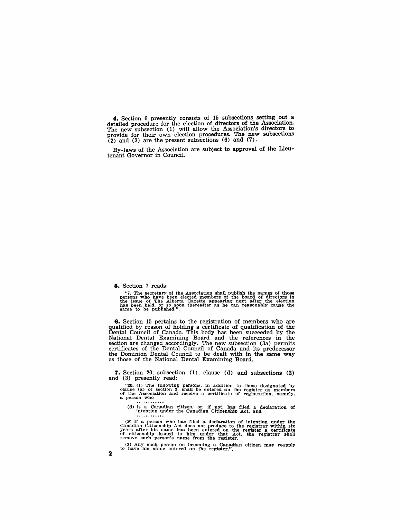**4.** Section 6 presently consists of 15 subsections setting out a detailed procedure for the election of directors of the Association. The new subsection (1) will allow the Association's directors to provide for their own election procedures. The new subsections  $(2)$  and  $(3)$  are the present subsections  $(6)$  and  $(7)$ .

By-laws of the Association are subject to approval of the lieutenant Governor in Council.

#### **5.** Section 7 reads:

"7. The secretary of the Association shall publish the names of those persons who have been elected members of the board of directors in the issue of The Alberta Gazette appearing next after the election has been held, or

**6.** Section 15 pertains to the registration of members who are qualified by reason of holding a certificate of qualification of the Dental Council of Canada. This body has been succeeded by the National Dental Examining Board and the references in the section are changed accordingly. The new subsection (3a) permits certificates of the Dental Council of Canada and its predecessor the Dominion Dental Council to be dealt with in the same way as those of the National Dental Examining Board.

**7.** Section 20, subsection (1), clause (d) and SUbsections (2) and (3) presently read:

" $20.$  (1) The following persons, in addition to those designated by clause (a) of section 3, shall be entered on the register as members of the Association and receive a certificate of registration, namely, a person who

(d) is a Canadian citizen, or, if not, has filed a declaration of intention under the Canadian Citizenship Act, and

( $2$ ) If a person who has filed a declaration of intention under the Canadian Citizenship Act does not produce to the registrar within  $\sin$  years after his name has been entered on the register a certificate of citizenshi

(3) Any such person on becoming a Canadian citizen may reapply to have his name entered on the register.".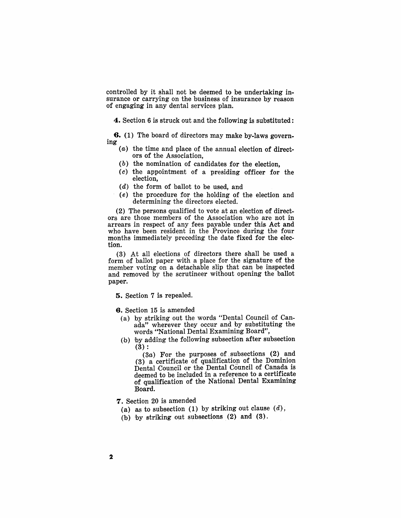controlled by it shall not be deemed to be undertaking insurance or carrying on the business of insurance by reason of engaging in any dental services plan.

4. Section 6 is struck out and the following is substituted:

6. (1) The board of directors may make by-laws govern- ing

- (a) the time and place of the annual election of directors of the Association,
	- (b) the nomination of candidates for the election,
- (c) the appointment of a presiding officer for the election,
- (d) the form of ballot to be used, and
- (e) the procedure for the holding of the election and determining the directors elected.

 $(2)$  The persons qualified to vote at an election of directors are those members of the Association who are not in arrears in respect of any fees payable under this Act and who have been resident in the Province during the four months immediately preceding the date fixed for the election.

(3) At all elections of directors there shall be used a form of ballot paper with a place for the signature of the member voting on a detachable slip that can be inspected and removed by the scrutineer without opening the ballot paper.

5. Section 7 is repealed.

6. Section 15 is amended

- (a) by striking out the words "Dental Council of Canada" wherever they occur and by substituting the words '''National Dental Examining Board",
- (h) by adding the following subsection after subsection (3) :

 $(3a)$  For the purposes of subsections  $(2)$  and  $(3)$  a certificate of qualification of the Dominion Dental Council or the Dental Council of Canada is deemed to be included in a reference to a certificate of qualification of the National Dental Examining Board.

7. Section 20 is amended

- (a) as to subsection (1) by striking out clause *(d),*
- (b) by striking out subsections (2) and (8).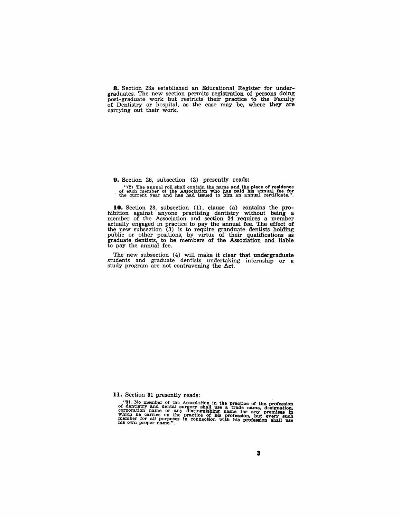8. Section 23a established an Educational Register for undergraduates. The new section permits registration of persons doing post-graduate work but restricts their practice to the Faculty of Dentistry or hospital, as the case may be, where they are carrying out their work.

9. Section 26, subsection (2) presently reads:

"(2) The annual roll shall contain the name and the place of residence of teach member of the Association who has paid inis annual fee for<br>the current year and has had issued to him an annual certificate.".

**10.** Section 28, subsection (1), clause (a) contains the pro-<br>hibition against anyone practising dentistry without being a<br>member of the Association and section 24 requires a member actually engaged in practice to pay the annual fee. The effect of the new subsection (3) is to require granduate dentists holding public or other positions, by virtue of their qualifications as graduate dentists, to be members of the Association and liable to pay the annual fee.

The new subsection (4) will make it clear that undergraduate students and graduate dentists undertaking internship or a study program are not contravening the Act.

**II.** Section 31 presently reads:

"31. No member of the Association in the practice of the profession of dentitivy and dental surgery shall use a trade name, designation, corporation name or any distinguishing name for any premises in which he carries on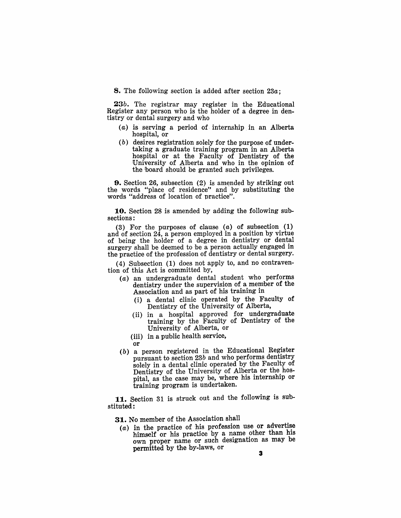8. The following section is added after section *23a·* ,

*23b.* The registrar may register in the Educational Register any person who is the holder of a degree in dentistry or dental surgery and who

- $(a)$  is serving a period of internship in an Alberta hospital, or
- (b) desires registration solely for the purpose of undertaking a graduate training program in an Alberta hospital or at the Faculty of Dentistry of the !University of Alberta and who in the opinion of the board should be granted such privileges.

**9.** Section 26, subsection  $(2)$  is amended by striking out the words "place of residence" and by substituting the words "address of location of practice".

10. Section 28 is amended by adding the following subsections:

(3) For the purposes of clause  $(a)$  of subsection  $(1)$ and of section 24, a person employed in a position by virtue of being the holder of a degree in dentistry or dental surgery shall be deemed to be a person actually engaged in the practice of the profession of dentistry or dental surgery.

(4) Subsection (1) does not apply to, and no contravention of this Act is committed by,

- (a) an undergraduate dental student who performs dentistry under the supervision of a member of the Association and as part of his training in
	- (i) a dental clinic operated by the Faculty of Dentistry of the University of Alberta,
	- (ii) in a hospital approved for undergraduate training by the F'aculty of Dentistry of the University of Alberta, or
	- (iii) in a public health service,
	- or
- (b) a person registered in the Educational Register pursuant to section *23b* and who performs dentistry solely in a dental clinic operated by the Faculty of Dentistry of the University of Alberta or the hospital, as the case may be, where his internship or training program is undertaken.

11. Section 31 is struck out and the following is substituted:

31. No member of the Association shall

 $(a)$  in the practice of his profession use or advertise himself or his practice by a name other than his own proper name or such designation as may be permitted by the by-laws, or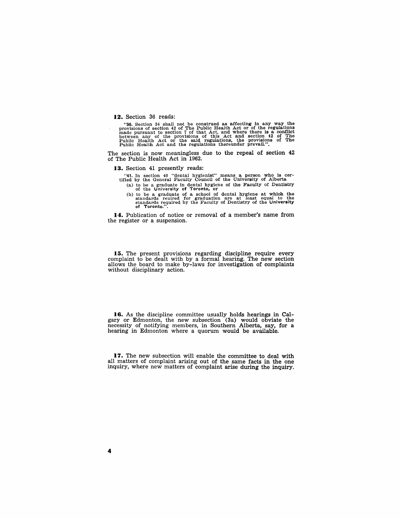**12.** Section 36 reads:

"36. Section 34 shall not be construed as affecting in any way the provisions of section 42 of The Public Health Act or of the regulations made pursuant to section 7 of that Act, and where there is a conflict between any

The section is now meaningless due to the repeal of section 42 of The Public Health Act in 1962.

**13.** Section 41 presently reads:

"41. In section 40 "dental hygienist" means a person who is certified by the General Faculty Council of the University of Alberta

- (a) to be a graduate in dental hygiene of the Faculty of Dentistry of the University of Toronto, or
- (b) to be a graduate of a school of dental hygiene at which the standards reuired for graduation are at least equal to the standards required by the Faculty of Dentistry of the University of Toronto.".

**14.** Publication of notice or removal of a member's name from the register or a suspension.

15. The present provisions regarding discipline require every complaint to be dealt with by a formal hearing. The new section allows the board to make by-laws for investigation of complaints without disciplinary action.

**16.** As the discipline committee usually holds hearings in Calgary or Edmonton, the new subsection (3a) would obviate the necessity of notifying members, in Southern Alberta, say, for a hearing in Edmonton where a quorum would be available.

**17.** The new subsection will enable the committee to deal with all matters of complaint arising out of the same facts in the one inquiry, where new matters of complaint arise during the inquiry.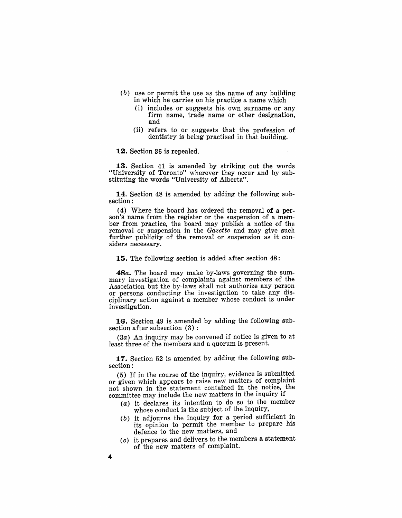- (b) use or permit the use as the name of any building in which he carries on his practice a name which
	- (i) includes or suggests his own surname or any firm name, trade name or other designation, and
	- (ii) refers to or suggests that the profession of dentistry is being practised in that building.

**12.** Section 36 is repealed.

**13.** Section 41 is amended by striking out the words "University of Toronto" wherever they occur and by substituting the words "University of Alberta".

**14.** Section 48 is amended by adding the following subsection:

(4) Where the board has ordered the removal of a person's name from the register or the suspension of a member from practice, the board may pubJish a notice of the removal or suspension in the *Gazette* and may give such further publicity of the removal or suspension as it considers necessary.

**15.** The following section is added after section 48:

*48a.* The board may make by-laws governing the summary investigation of complaints against members of the Association but the by-laws shall not authorize any person or persons conducting the investigation to take any disciplinary action against a member whose conduct is under investigation.

**16.** Section 49 is amended by adding the following subsection after subsection (3) :

(3a) An inquiry may be convened if notice is given to at least three of the members and a quorum is present.

**17.** Section 52 is amended by adding the following subsection:

(5) If in the course of the inquiry, evidence is submitted or given which appears to raise new matters of complaint not shown in the statement contained in the notice, the committee may include the new matters in the inquiry if

- $(a)$  it declares its intention to do so to the member whose conduct is the subject of the inquiry,
- $(b)$  it adjourns the inquiry for a period sufficient in its opinion to permit the member to prepare his defence to the new matters, and
- $(c)$  it prepares and delivers to the members a statement of the new matters of complaint.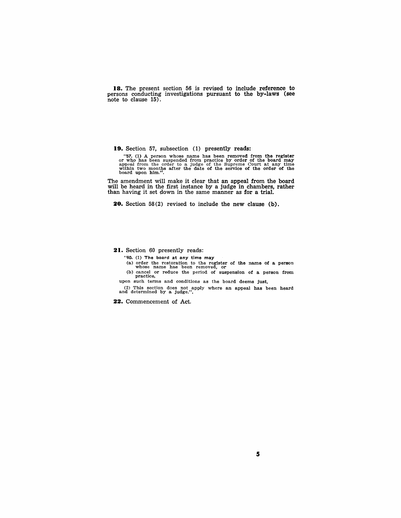18. The present section 56 is revised to include reference to persons conducting investigations pursuant to the by-laws (see note to clause 15).

19. Section 57, subsection (1) presently reads:

"57. (1) A person whose name has been removed from the register or who has been suspended from practice by order of the board may appeal from the order to a judge of the Supreme Court at any time within two months after t

The amendment will make it clear that an appeal from the board will be heard in the first instance by a judge in chambers, rather than having it set down in the same manner as for a trial.

20. Section 58(2) revised to include the new clause (b).

21. Section 60 presently reads:

"60. (1) The board at any time may

(a) order the 'restoration to the register of the name of a person whose name has been removed, or (b) cancel or reduce the period of suspension of a person from

practice, upon such terms and conditions as the board deems just.

 $(2)$  This section does not apply where an appeal has been heard and determined by a judge.".

22. Commencement of Act,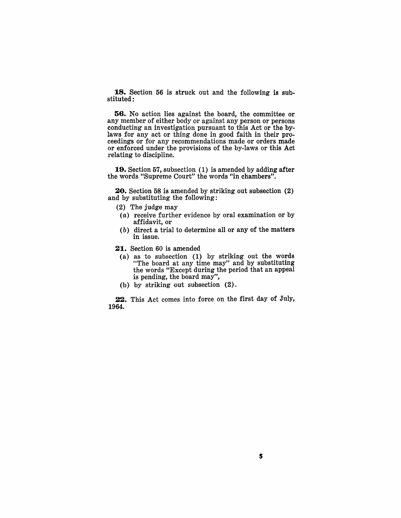**18.** Section 56 is struck out and the following is substituted:

**56.** No action lies against the board, the committee or any member of either body or against any person or persons conducting an investigation pursuant to this Act or the bylaws for any act or thing done in good faith in their proceedings or for any recommendations made or orders made or enforced under the provisions of the by-laws or this Act relating to discipline.

**19.** Section 57, subsection (1) is amended by adding after the words "Supreme Court" the words "in chambers".

**20.** Section 58 is amended by striking out subsection (2) and by substituting the following:

- (2) The judge may
- (a) receive further evidence by oral examination or by affidavit, or
- $(b)$  direct a trial to determine all or any of the matters in issue.

21. Section 60 is amended

- (a) as to subsection (1) by striking out the words "The board at any time may" and by substituting the words "Except during the period that an appeal is pending, the board may",
- (b) by striking out subsection (2).

**22.** This Act comes into force on the first day of July, 1964.